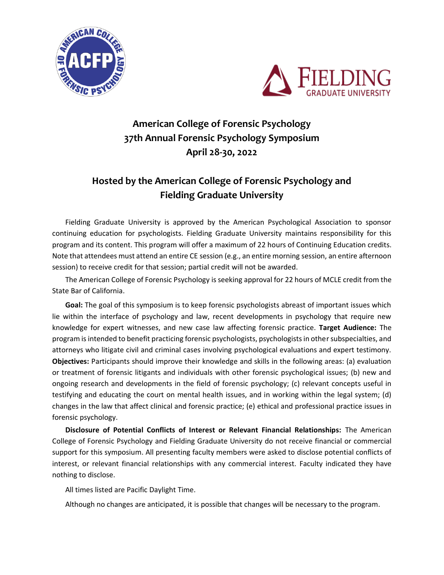



# **American College of Forensic Psychology 37th Annual Forensic Psychology Symposium April 28-30, 2022**

# **Hosted by the American College of Forensic Psychology and Fielding Graduate University**

Fielding Graduate University is approved by the American Psychological Association to sponsor continuing education for psychologists. Fielding Graduate University maintains responsibility for this program and its content. This program will offer a maximum of 22 hours of Continuing Education credits. Note that attendees must attend an entire CE session (e.g., an entire morning session, an entire afternoon session) to receive credit for that session; partial credit will not be awarded.

The American College of Forensic Psychology is seeking approval for 22 hours of MCLE credit from the State Bar of California.

**Goal:** The goal of this symposium is to keep forensic psychologists abreast of important issues which lie within the interface of psychology and law, recent developments in psychology that require new knowledge for expert witnesses, and new case law affecting forensic practice. **Target Audience:** The program is intended to benefit practicing forensic psychologists, psychologists in other subspecialties, and attorneys who litigate civil and criminal cases involving psychological evaluations and expert testimony. **Objectives:** Participants should improve their knowledge and skills in the following areas: (a) evaluation or treatment of forensic litigants and individuals with other forensic psychological issues; (b) new and ongoing research and developments in the field of forensic psychology; (c) relevant concepts useful in testifying and educating the court on mental health issues, and in working within the legal system; (d) changes in the law that affect clinical and forensic practice; (e) ethical and professional practice issues in forensic psychology.

**Disclosure of Potential Conflicts of Interest or Relevant Financial Relationships:** The American College of Forensic Psychology and Fielding Graduate University do not receive financial or commercial support for this symposium. All presenting faculty members were asked to disclose potential conflicts of interest, or relevant financial relationships with any commercial interest. Faculty indicated they have nothing to disclose.

All times listed are Pacific Daylight Time.

Although no changes are anticipated, it is possible that changes will be necessary to the program.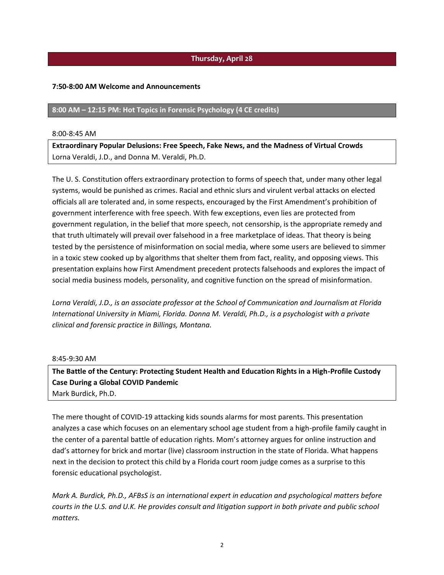# **Thursday, April 28**

#### **7:50-8:00 AM Welcome and Announcements**

#### **8:00 AM – 12:15 PM: Hot Topics in Forensic Psychology (4 CE credits)**

#### 8:00-8:45 AM

**Extraordinary Popular Delusions: Free Speech, Fake News, and the Madness of Virtual Crowds** Lorna Veraldi, J.D., and Donna M. Veraldi, Ph.D.

The U. S. Constitution offers extraordinary protection to forms of speech that, under many other legal systems, would be punished as crimes. Racial and ethnic slurs and virulent verbal attacks on elected officials all are tolerated and, in some respects, encouraged by the First Amendment's prohibition of government interference with free speech. With few exceptions, even lies are protected from government regulation, in the belief that more speech, not censorship, is the appropriate remedy and that truth ultimately will prevail over falsehood in a free marketplace of ideas. That theory is being tested by the persistence of misinformation on social media, where some users are believed to simmer in a toxic stew cooked up by algorithms that shelter them from fact, reality, and opposing views. This presentation explains how First Amendment precedent protects falsehoods and explores the impact of social media business models, personality, and cognitive function on the spread of misinformation.

*Lorna Veraldi, J.D., is an associate professor at the School of Communication and Journalism at Florida International University in Miami, Florida. Donna M. Veraldi, Ph.D., is a psychologist with a private clinical and forensic practice in Billings, Montana.*

#### 8:45-9:30 AM

**The Battle of the Century: Protecting Student Health and Education Rights in a High-Profile Custody Case During a Global COVID Pandemic** Mark Burdick, Ph.D.

The mere thought of COVID-19 attacking kids sounds alarms for most parents. This presentation analyzes a case which focuses on an elementary school age student from a high-profile family caught in the center of a parental battle of education rights. Mom's attorney argues for online instruction and dad's attorney for brick and mortar (live) classroom instruction in the state of Florida. What happens next in the decision to protect this child by a Florida court room judge comes as a surprise to this forensic educational psychologist.

*Mark A. Burdick, Ph.D., AFBsS is an international expert in education and psychological matters before courts in the U.S. and U.K. He provides consult and litigation support in both private and public school matters.*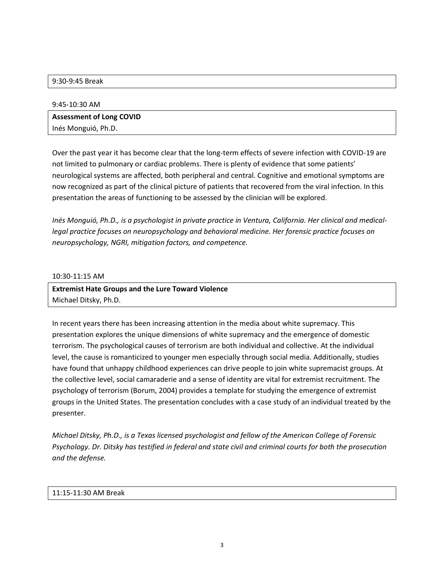#### 9:30-9:45 Break

9:45-10:30 AM

#### **Assessment of Long COVID**

Inés Monguió, Ph.D.

Over the past year it has become clear that the long-term effects of severe infection with COVID-19 are not limited to pulmonary or cardiac problems. There is plenty of evidence that some patients' neurological systems are affected, both peripheral and central. Cognitive and emotional symptoms are now recognized as part of the clinical picture of patients that recovered from the viral infection. In this presentation the areas of functioning to be assessed by the clinician will be explored.

*Inés Monguió, Ph.D., is a psychologist in private practice in Ventura, California. Her clinical and medicallegal practice focuses on neuropsychology and behavioral medicine. Her forensic practice focuses on neuropsychology, NGRI, mitigation factors, and competence.*

#### 10:30-11:15 AM

**Extremist Hate Groups and the Lure Toward Violence** Michael Ditsky, Ph.D.

In recent years there has been increasing attention in the media about white supremacy. This presentation explores the unique dimensions of white supremacy and the emergence of domestic terrorism. The psychological causes of terrorism are both individual and collective. At the individual level, the cause is romanticized to younger men especially through social media. Additionally, studies have found that unhappy childhood experiences can drive people to join white supremacist groups. At the collective level, social camaraderie and a sense of identity are vital for extremist recruitment. The psychology of terrorism (Borum, 2004) provides a template for studying the emergence of extremist groups in the United States. The presentation concludes with a case study of an individual treated by the presenter.

*Michael Ditsky, Ph.D., is a Texas licensed psychologist and fellow of the American College of Forensic Psychology. Dr. Ditsky has testified in federal and state civil and criminal courts for both the prosecution and the defense.*

#### 11:15-11:30 AM Break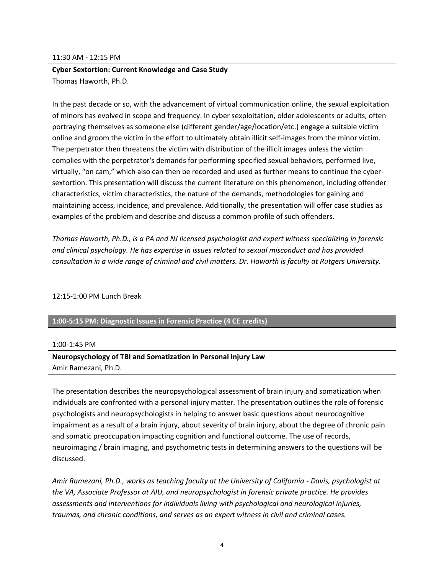#### 11:30 AM - 12:15 PM

# **Cyber Sextortion: Current Knowledge and Case Study** Thomas Haworth, Ph.D.

In the past decade or so, with the advancement of virtual communication online, the sexual exploitation of minors has evolved in scope and frequency. In cyber sexploitation, older adolescents or adults, often portraying themselves as someone else (different gender/age/location/etc.) engage a suitable victim online and groom the victim in the effort to ultimately obtain illicit self-images from the minor victim. The perpetrator then threatens the victim with distribution of the illicit images unless the victim complies with the perpetrator's demands for performing specified sexual behaviors, performed live, virtually, "on cam," which also can then be recorded and used as further means to continue the cybersextortion. This presentation will discuss the current literature on this phenomenon, including offender characteristics, victim characteristics, the nature of the demands, methodologies for gaining and maintaining access, incidence, and prevalence. Additionally, the presentation will offer case studies as examples of the problem and describe and discuss a common profile of such offenders.

*Thomas Haworth, Ph.D., is a PA and NJ licensed psychologist and expert witness specializing in forensic and clinical psychology. He has expertise in issues related to sexual misconduct and has provided consultation in a wide range of criminal and civil matters. Dr. Haworth is faculty at Rutgers University.*

#### 12:15-1:00 PM Lunch Break

## **1:00-5:15 PM: Diagnostic Issues in Forensic Practice (4 CE credits)**

#### 1:00-1:45 PM

## **Neuropsychology of TBI and Somatization in Personal Injury Law** Amir Ramezani, Ph.D.

The presentation describes the neuropsychological assessment of brain injury and somatization when individuals are confronted with a personal injury matter. The presentation outlines the role of forensic psychologists and neuropsychologists in helping to answer basic questions about neurocognitive impairment as a result of a brain injury, about severity of brain injury, about the degree of chronic pain and somatic preoccupation impacting cognition and functional outcome. The use of records, neuroimaging / brain imaging, and psychometric tests in determining answers to the questions will be discussed.

*Amir Ramezani, Ph.D., works as teaching faculty at the University of California - Davis, psychologist at the VA, Associate Professor at AIU, and neuropsychologist in forensic private practice. He provides assessments and interventions for individuals living with psychological and neurological injuries, traumas, and chronic conditions, and serves as an expert witness in civil and criminal cases.*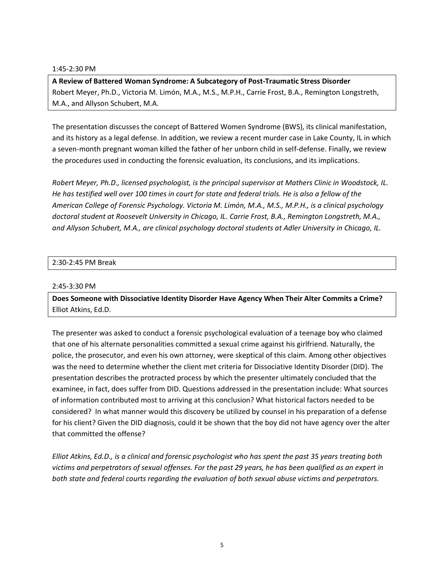1:45-2:30 PM

**A Review of Battered Woman Syndrome: A Subcategory of Post-Traumatic Stress Disorder** Robert Meyer, Ph.D., Victoria M. Limón, M.A., M.S., M.P.H., Carrie Frost, B.A., Remington Longstreth, M.A., and Allyson Schubert, M.A.

The presentation discusses the concept of Battered Women Syndrome (BWS), its clinical manifestation, and its history as a legal defense. In addition, we review a recent murder case in Lake County, IL in which a seven-month pregnant woman killed the father of her unborn child in self-defense. Finally, we review the procedures used in conducting the forensic evaluation, its conclusions, and its implications.

*Robert Meyer, Ph.D., licensed psychologist, is the principal supervisor at Mathers Clinic in Woodstock, IL. He has testified well over 100 times in court for state and federal trials. He is also a fellow of the American College of Forensic Psychology. Victoria M. Limón, M.A., M.S., M.P.H., is a clinical psychology doctoral student at Roosevelt University in Chicago, IL. Carrie Frost, B.A., Remington Longstreth, M.A., and Allyson Schubert, M.A., are clinical psychology doctoral students at Adler University in Chicago, IL.* 

#### 2:30-2:45 PM Break

#### 2:45-3:30 PM

**Does Someone with Dissociative Identity Disorder Have Agency When Their Alter Commits a Crime?** Elliot Atkins, Ed.D.

The presenter was asked to conduct a forensic psychological evaluation of a teenage boy who claimed that one of his alternate personalities committed a sexual crime against his girlfriend. Naturally, the police, the prosecutor, and even his own attorney, were skeptical of this claim. Among other objectives was the need to determine whether the client met criteria for Dissociative Identity Disorder (DID). The presentation describes the protracted process by which the presenter ultimately concluded that the examinee, in fact, does suffer from DID. Questions addressed in the presentation include: What sources of information contributed most to arriving at this conclusion? What historical factors needed to be considered? In what manner would this discovery be utilized by counsel in his preparation of a defense for his client? Given the DID diagnosis, could it be shown that the boy did not have agency over the alter that committed the offense?

*Elliot Atkins, Ed.D., is a clinical and forensic psychologist who has spent the past 35 years treating both victims and perpetrators of sexual offenses. For the past 29 years, he has been qualified as an expert in both state and federal courts regarding the evaluation of both sexual abuse victims and perpetrators.*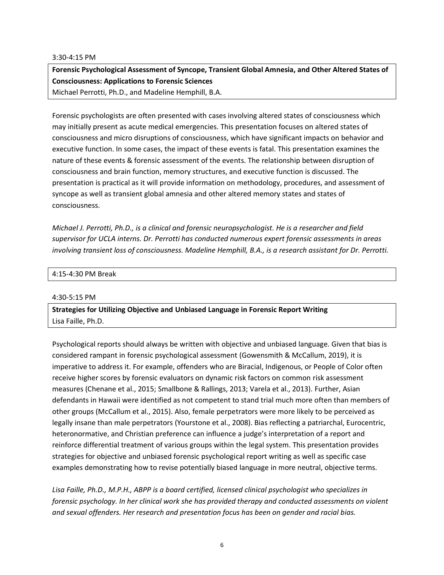3:30-4:15 PM

**Forensic Psychological Assessment of Syncope, Transient Global Amnesia, and Other Altered States of Consciousness: Applications to Forensic Sciences**

Michael Perrotti, Ph.D., and Madeline Hemphill, B.A.

Forensic psychologists are often presented with cases involving altered states of consciousness which may initially present as acute medical emergencies. This presentation focuses on altered states of consciousness and micro disruptions of consciousness, which have significant impacts on behavior and executive function. In some cases, the impact of these events is fatal. This presentation examines the nature of these events & forensic assessment of the events. The relationship between disruption of consciousness and brain function, memory structures, and executive function is discussed. The presentation is practical as it will provide information on methodology, procedures, and assessment of syncope as well as transient global amnesia and other altered memory states and states of consciousness.

*Michael J. Perrotti, Ph.D., is a clinical and forensic neuropsychologist. He is a researcher and field supervisor for UCLA interns. Dr. Perrotti has conducted numerous expert forensic assessments in areas involving transient loss of consciousness. Madeline Hemphill, B.A., is a research assistant for Dr. Perrotti.*

## 4:15-4:30 PM Break

#### 4:30-5:15 PM

**Strategies for Utilizing Objective and Unbiased Language in Forensic Report Writing** Lisa Faille, Ph.D.

Psychological reports should always be written with objective and unbiased language. Given that bias is considered rampant in forensic psychological assessment (Gowensmith & McCallum, 2019), it is imperative to address it. For example, offenders who are Biracial, Indigenous, or People of Color often receive higher scores by forensic evaluators on dynamic risk factors on common risk assessment measures (Chenane et al., 2015; Smallbone & Rallings, 2013; Varela et al., 2013). Further, Asian defendants in Hawaii were identified as not competent to stand trial much more often than members of other groups (McCallum et al., 2015). Also, female perpetrators were more likely to be perceived as legally insane than male perpetrators (Yourstone et al., 2008). Bias reflecting a patriarchal, Eurocentric, heteronormative, and Christian preference can influence a judge's interpretation of a report and reinforce differential treatment of various groups within the legal system. This presentation provides strategies for objective and unbiased forensic psychological report writing as well as specific case examples demonstrating how to revise potentially biased language in more neutral, objective terms.

*Lisa Faille, Ph.D., M.P.H., ABPP is a board certified, licensed clinical psychologist who specializes in forensic psychology. In her clinical work she has provided therapy and conducted assessments on violent and sexual offenders. Her research and presentation focus has been on gender and racial bias.*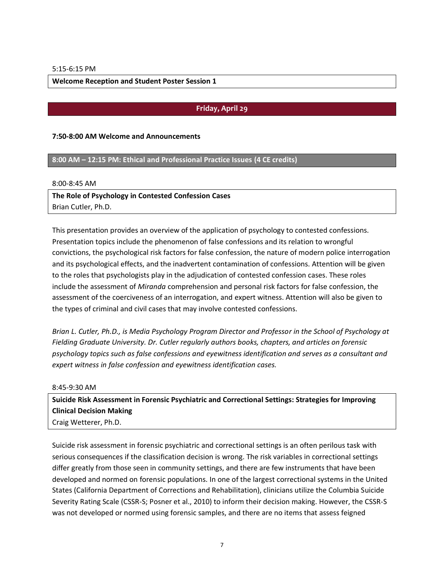**Welcome Reception and Student Poster Session 1**

# **Friday, April 29**

#### **7:50-8:00 AM Welcome and Announcements**

#### **8:00 AM – 12:15 PM: Ethical and Professional Practice Issues (4 CE credits)**

8:00-8:45 AM

**The Role of Psychology in Contested Confession Cases** Brian Cutler, Ph.D.

This presentation provides an overview of the application of psychology to contested confessions. Presentation topics include the phenomenon of false confessions and its relation to wrongful convictions, the psychological risk factors for false confession, the nature of modern police interrogation and its psychological effects, and the inadvertent contamination of confessions. Attention will be given to the roles that psychologists play in the adjudication of contested confession cases. These roles include the assessment of *Miranda* comprehension and personal risk factors for false confession, the assessment of the coerciveness of an interrogation, and expert witness. Attention will also be given to the types of criminal and civil cases that may involve contested confessions.

*Brian L. Cutler, Ph.D., is Media Psychology Program Director and Professor in the School of Psychology at Fielding Graduate University. Dr. Cutler regularly authors books, chapters, and articles on forensic psychology topics such as false confessions and eyewitness identification and serves as a consultant and expert witness in false confession and eyewitness identification cases.*

8:45-9:30 AM

**Suicide Risk Assessment in Forensic Psychiatric and Correctional Settings: Strategies for Improving Clinical Decision Making** Craig Wetterer, Ph.D.

Suicide risk assessment in forensic psychiatric and correctional settings is an often perilous task with serious consequences if the classification decision is wrong. The risk variables in correctional settings differ greatly from those seen in community settings, and there are few instruments that have been developed and normed on forensic populations. In one of the largest correctional systems in the United States (California Department of Corrections and Rehabilitation), clinicians utilize the Columbia Suicide Severity Rating Scale (CSSR-S; Posner et al., 2010) to inform their decision making. However, the CSSR-S was not developed or normed using forensic samples, and there are no items that assess feigned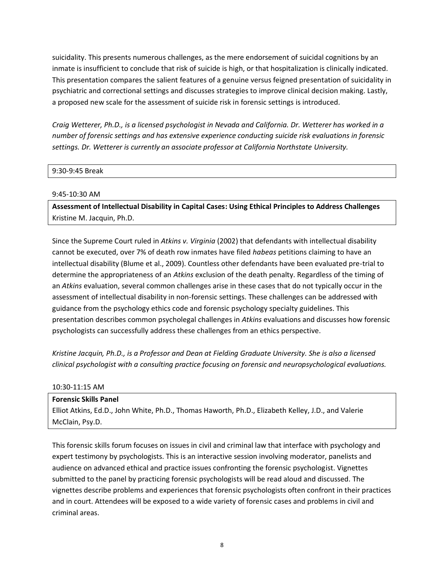suicidality. This presents numerous challenges, as the mere endorsement of suicidal cognitions by an inmate is insufficient to conclude that risk of suicide is high, or that hospitalization is clinically indicated. This presentation compares the salient features of a genuine versus feigned presentation of suicidality in psychiatric and correctional settings and discusses strategies to improve clinical decision making. Lastly, a proposed new scale for the assessment of suicide risk in forensic settings is introduced.

*Craig Wetterer, Ph.D., is a licensed psychologist in Nevada and California. Dr. Wetterer has worked in a number of forensic settings and has extensive experience conducting suicide risk evaluations in forensic settings. Dr. Wetterer is currently an associate professor at California Northstate University.*

#### 9:30-9:45 Break

#### 9:45-10:30 AM

**Assessment of Intellectual Disability in Capital Cases: Using Ethical Principles to Address Challenges** Kristine M. Jacquin, Ph.D.

Since the Supreme Court ruled in *Atkins v. Virginia* (2002) that defendants with intellectual disability cannot be executed, over 7% of death row inmates have filed *habeas* petitions claiming to have an intellectual disability (Blume et al., 2009). Countless other defendants have been evaluated pre-trial to determine the appropriateness of an *Atkins* exclusion of the death penalty. Regardless of the timing of an *Atkins* evaluation, several common challenges arise in these cases that do not typically occur in the assessment of intellectual disability in non-forensic settings. These challenges can be addressed with guidance from the psychology ethics code and forensic psychology specialty guidelines. This presentation describes common psycholegal challenges in *Atkins* evaluations and discusses how forensic psychologists can successfully address these challenges from an ethics perspective.

*Kristine Jacquin, Ph.D., is a Professor and Dean at Fielding Graduate University. She is also a licensed clinical psychologist with a consulting practice focusing on forensic and neuropsychological evaluations.*

| 10:30-11:15 AM                                                                                      |
|-----------------------------------------------------------------------------------------------------|
| <b>Forensic Skills Panel</b>                                                                        |
| Elliot Atkins, Ed.D., John White, Ph.D., Thomas Haworth, Ph.D., Elizabeth Kelley, J.D., and Valerie |
| McClain, Psy.D.                                                                                     |

This forensic skills forum focuses on issues in civil and criminal law that interface with psychology and expert testimony by psychologists. This is an interactive session involving moderator, panelists and audience on advanced ethical and practice issues confronting the forensic psychologist. Vignettes submitted to the panel by practicing forensic psychologists will be read aloud and discussed. The vignettes describe problems and experiences that forensic psychologists often confront in their practices and in court. Attendees will be exposed to a wide variety of forensic cases and problems in civil and criminal areas.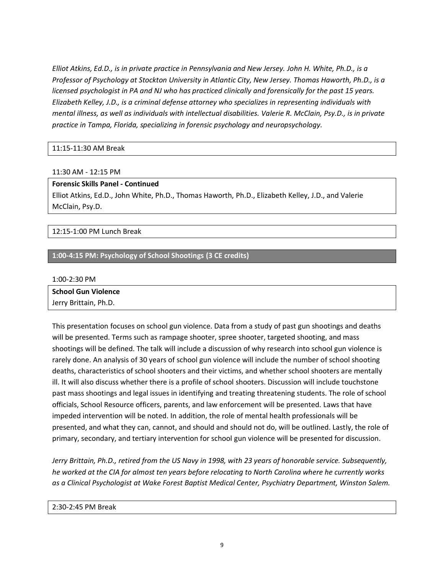*Elliot Atkins, Ed.D., is in private practice in Pennsylvania and New Jersey. John H. White, Ph.D., is a Professor of Psychology at Stockton University in Atlantic City, New Jersey. Thomas Haworth, Ph.D., is a licensed psychologist in PA and NJ who has practiced clinically and forensically for the past 15 years. Elizabeth Kelley, J.D., is a criminal defense attorney who specializes in representing individuals with mental illness, as well as individuals with intellectual disabilities. Valerie R. McClain, Psy.D., is in private practice in Tampa, Florida, specializing in forensic psychology and neuropsychology.*

#### 11:15-11:30 AM Break

#### 11:30 AM - 12:15 PM

#### **Forensic Skills Panel - Continued**

Elliot Atkins, Ed.D., John White, Ph.D., Thomas Haworth, Ph.D., Elizabeth Kelley, J.D., and Valerie McClain, Psy.D.

#### 12:15-1:00 PM Lunch Break

## **1:00-4:15 PM: Psychology of School Shootings (3 CE credits)**

1:00-2:30 PM

**School Gun Violence**

Jerry Brittain, Ph.D.

This presentation focuses on school gun violence. Data from a study of past gun shootings and deaths will be presented. Terms such as rampage shooter, spree shooter, targeted shooting, and mass shootings will be defined. The talk will include a discussion of why research into school gun violence is rarely done. An analysis of 30 years of school gun violence will include the number of school shooting deaths, characteristics of school shooters and their victims, and whether school shooters are mentally ill. It will also discuss whether there is a profile of school shooters. Discussion will include touchstone past mass shootings and legal issues in identifying and treating threatening students. The role of school officials, School Resource officers, parents, and law enforcement will be presented. Laws that have impeded intervention will be noted. In addition, the role of mental health professionals will be presented, and what they can, cannot, and should and should not do, will be outlined. Lastly, the role of primary, secondary, and tertiary intervention for school gun violence will be presented for discussion.

*Jerry Brittain, Ph.D., retired from the US Navy in 1998, with 23 years of honorable service. Subsequently, he worked at the CIA for almost ten years before relocating to North Carolina where he currently works as a Clinical Psychologist at Wake Forest Baptist Medical Center, Psychiatry Department, Winston Salem.*

## 2:30-2:45 PM Break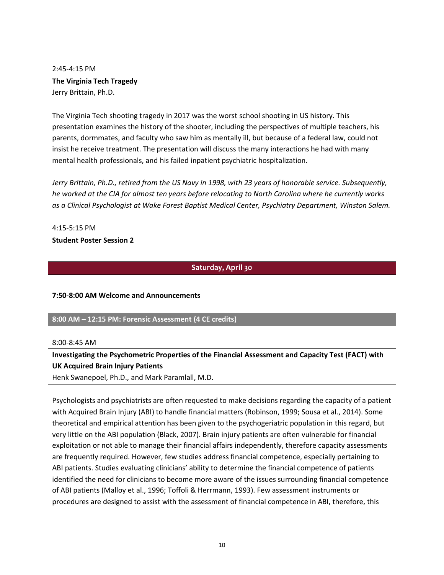2:45-4:15 PM

## **The Virginia Tech Tragedy** Jerry Brittain, Ph.D.

The Virginia Tech shooting tragedy in 2017 was the worst school shooting in US history. This presentation examines the history of the shooter, including the perspectives of multiple teachers, his parents, dormmates, and faculty who saw him as mentally ill, but because of a federal law, could not insist he receive treatment. The presentation will discuss the many interactions he had with many mental health professionals, and his failed inpatient psychiatric hospitalization.

*Jerry Brittain, Ph.D., retired from the US Navy in 1998, with 23 years of honorable service. Subsequently, he worked at the CIA for almost ten years before relocating to North Carolina where he currently works as a Clinical Psychologist at Wake Forest Baptist Medical Center, Psychiatry Department, Winston Salem.*

4:15-5:15 PM

## **Student Poster Session 2**

# **Saturday, April 30**

## **7:50-8:00 AM Welcome and Announcements**

## **8:00 AM – 12:15 PM: Forensic Assessment (4 CE credits)**

#### 8:00-8:45 AM

**Investigating the Psychometric Properties of the Financial Assessment and Capacity Test (FACT) with UK Acquired Brain Injury Patients**

Henk Swanepoel, Ph.D., and Mark Paramlall, M.D.

Psychologists and psychiatrists are often requested to make decisions regarding the capacity of a patient with Acquired Brain Injury (ABI) to handle financial matters (Robinson, 1999; Sousa et al., 2014). Some theoretical and empirical attention has been given to the psychogeriatric population in this regard, but very little on the ABI population (Black, 2007). Brain injury patients are often vulnerable for financial exploitation or not able to manage their financial affairs independently, therefore capacity assessments are frequently required. However, few studies address financial competence, especially pertaining to ABI patients. Studies evaluating clinicians' ability to determine the financial competence of patients identified the need for clinicians to become more aware of the issues surrounding financial competence of ABI patients (Malloy et al., 1996; Toffoli & Herrmann, 1993). Few assessment instruments or procedures are designed to assist with the assessment of financial competence in ABI, therefore, this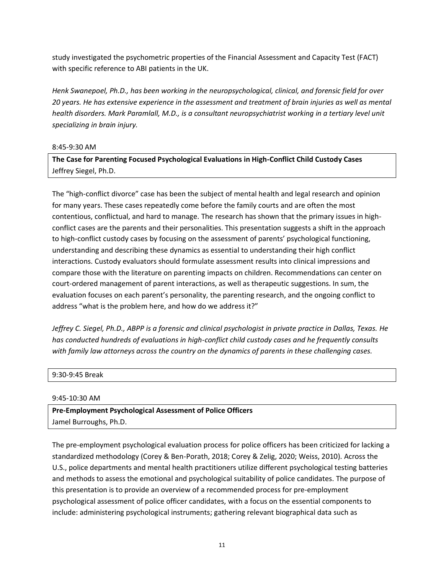study investigated the psychometric properties of the Financial Assessment and Capacity Test (FACT) with specific reference to ABI patients in the UK.

*Henk Swanepoel, Ph.D., has been working in the neuropsychological, clinical, and forensic field for over 20 years. He has extensive experience in the assessment and treatment of brain injuries as well as mental health disorders. Mark Paramlall, M.D., is a consultant neuropsychiatrist working in a tertiary level unit specializing in brain injury.* 

## 8:45-9:30 AM

**The Case for Parenting Focused Psychological Evaluations in High-Conflict Child Custody Cases** Jeffrey Siegel, Ph.D.

The "high-conflict divorce" case has been the subject of mental health and legal research and opinion for many years. These cases repeatedly come before the family courts and are often the most contentious, conflictual, and hard to manage. The research has shown that the primary issues in highconflict cases are the parents and their personalities. This presentation suggests a shift in the approach to high-conflict custody cases by focusing on the assessment of parents' psychological functioning, understanding and describing these dynamics as essential to understanding their high conflict interactions. Custody evaluators should formulate assessment results into clinical impressions and compare those with the literature on parenting impacts on children. Recommendations can center on court-ordered management of parent interactions, as well as therapeutic suggestions. In sum, the evaluation focuses on each parent's personality, the parenting research, and the ongoing conflict to address "what is the problem here, and how do we address it?"

*Jeffrey C. Siegel, Ph.D., ABPP is a forensic and clinical psychologist in private practice in Dallas, Texas. He has conducted hundreds of evaluations in high-conflict child custody cases and he frequently consults with family law attorneys across the country on the dynamics of parents in these challenging cases.*

## 9:30-9:45 Break

#### 9:45-10:30 AM

**Pre-Employment Psychological Assessment of Police Officers** Jamel Burroughs, Ph.D.

The pre-employment psychological evaluation process for police officers has been criticized for lacking a standardized methodology (Corey & Ben-Porath, 2018; Corey & Zelig, 2020; Weiss, 2010). Across the U.S., police departments and mental health practitioners utilize different psychological testing batteries and methods to assess the emotional and psychological suitability of police candidates. The purpose of this presentation is to provide an overview of a recommended process for pre-employment psychological assessment of police officer candidates, with a focus on the essential components to include: administering psychological instruments; gathering relevant biographical data such as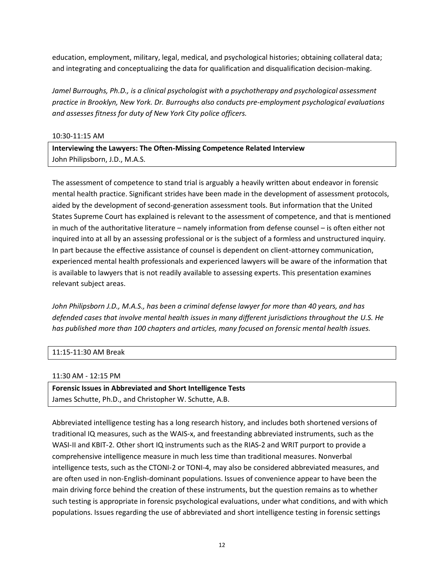education, employment, military, legal, medical, and psychological histories; obtaining collateral data; and integrating and conceptualizing the data for qualification and disqualification decision-making.

*Jamel Burroughs, Ph.D., is a clinical psychologist with a psychotherapy and psychological assessment practice in Brooklyn, New York. Dr. Burroughs also conducts pre-employment psychological evaluations and assesses fitness for duty of New York City police officers.*

## 10:30-11:15 AM

**Interviewing the Lawyers: The Often-Missing Competence Related Interview** John Philipsborn, J.D., M.A.S.

The assessment of competence to stand trial is arguably a heavily written about endeavor in forensic mental health practice. Significant strides have been made in the development of assessment protocols, aided by the development of second-generation assessment tools. But information that the United States Supreme Court has explained is relevant to the assessment of competence, and that is mentioned in much of the authoritative literature – namely information from defense counsel – is often either not inquired into at all by an assessing professional or is the subject of a formless and unstructured inquiry. In part because the effective assistance of counsel is dependent on client-attorney communication, experienced mental health professionals and experienced lawyers will be aware of the information that is available to lawyers that is not readily available to assessing experts. This presentation examines relevant subject areas.

*John Philipsborn J.D., M.A.S., has been a criminal defense lawyer for more than 40 years, and has defended cases that involve mental health issues in many different jurisdictions throughout the U.S. He has published more than 100 chapters and articles, many focused on forensic mental health issues.*

## 11:15-11:30 AM Break

11:30 AM - 12:15 PM

**Forensic Issues in Abbreviated and Short Intelligence Tests** James Schutte, Ph.D., and Christopher W. Schutte, A.B.

Abbreviated intelligence testing has a long research history, and includes both shortened versions of traditional IQ measures, such as the WAIS-x, and freestanding abbreviated instruments, such as the WASI-II and KBIT-2. Other short IQ instruments such as the RIAS-2 and WRIT purport to provide a comprehensive intelligence measure in much less time than traditional measures. Nonverbal intelligence tests, such as the CTONI-2 or TONI-4, may also be considered abbreviated measures, and are often used in non-English-dominant populations. Issues of convenience appear to have been the main driving force behind the creation of these instruments, but the question remains as to whether such testing is appropriate in forensic psychological evaluations, under what conditions, and with which populations. Issues regarding the use of abbreviated and short intelligence testing in forensic settings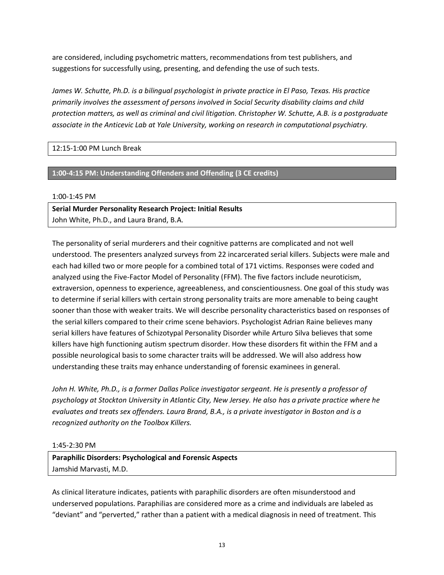are considered, including psychometric matters, recommendations from test publishers, and suggestions for successfully using, presenting, and defending the use of such tests.

James W. Schutte, Ph.D. is a bilingual psychologist in private practice in El Paso, Texas. His practice *primarily involves the assessment of persons involved in Social Security disability claims and child protection matters, as well as criminal and civil litigation. Christopher W. Schutte, A.B. is a postgraduate associate in the Anticevic Lab at Yale University, working on research in computational psychiatry.*

# 12:15-1:00 PM Lunch Break

# **1:00-4:15 PM: Understanding Offenders and Offending (3 CE credits)**

#### 1:00-1:45 PM

**Serial Murder Personality Research Project: Initial Results** John White, Ph.D., and Laura Brand, B.A.

The personality of serial murderers and their cognitive patterns are complicated and not well understood. The presenters analyzed surveys from 22 incarcerated serial killers. Subjects were male and each had killed two or more people for a combined total of 171 victims. Responses were coded and analyzed using the Five-Factor Model of Personality (FFM). The five factors include neuroticism, extraversion, openness to experience, agreeableness, and conscientiousness. One goal of this study was to determine if serial killers with certain strong personality traits are more amenable to being caught sooner than those with weaker traits. We will describe personality characteristics based on responses of the serial killers compared to their crime scene behaviors. Psychologist Adrian Raine believes many serial killers have features of Schizotypal Personality Disorder while Arturo Silva believes that some killers have high functioning autism spectrum disorder. How these disorders fit within the FFM and a possible neurological basis to some character traits will be addressed. We will also address how understanding these traits may enhance understanding of forensic examinees in general.

*John H. White, Ph.D., is a former Dallas Police investigator sergeant. He is presently a professor of psychology at Stockton University in Atlantic City, New Jersey. He also has a private practice where he evaluates and treats sex offenders. Laura Brand, B.A., is a private investigator in Boston and is a recognized authority on the Toolbox Killers.* 

## 1:45-2:30 PM

**Paraphilic Disorders: Psychological and Forensic Aspects** Jamshid Marvasti, M.D.

As clinical literature indicates, patients with paraphilic disorders are often misunderstood and underserved populations. Paraphilias are considered more as a crime and individuals are labeled as "deviant" and "perverted," rather than a patient with a medical diagnosis in need of treatment. This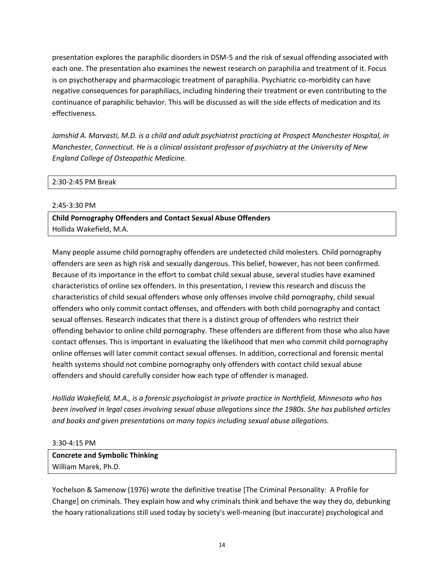presentation explores the paraphilic disorders in DSM-5 and the risk of sexual offending associated with each one. The presentation also examines the newest research on paraphilia and treatment of it. Focus is on psychotherapy and pharmacologic treatment of paraphilia. Psychiatric co-morbidity can have negative consequences for paraphiliacs, including hindering their treatment or even contributing to the continuance of paraphilic behavior. This will be discussed as will the side effects of medication and its effectiveness.

*Jamshid A. Marvasti, M.D. is a child and adult psychiatrist practicing at Prospect Manchester Hospital, in Manchester, Connecticut. He is a clinical assistant professor of psychiatry at the University of New England College of Osteopathic Medicine.*

#### 2:30-2:45 PM Break

2:45-3:30 PM

**Child Pornography Offenders and Contact Sexual Abuse Offenders** Hollida Wakefield, M.A.

Many people assume child pornography offenders are undetected child molesters. Child pornography offenders are seen as high risk and sexually dangerous. This belief, however, has not been confirmed. Because of its importance in the effort to combat child sexual abuse, several studies have examined characteristics of online sex offenders. In this presentation, I review this research and discuss the characteristics of child sexual offenders whose only offenses involve child pornography, child sexual offenders who only commit contact offenses, and offenders with both child pornography and contact sexual offenses. Research indicates that there is a distinct group of offenders who restrict their offending behavior to online child pornography. These offenders are different from those who also have contact offenses. This is important in evaluating the likelihood that men who commit child pornography online offenses will later commit contact sexual offenses. In addition, correctional and forensic mental health systems should not combine pornography only offenders with contact child sexual abuse offenders and should carefully consider how each type of offender is managed.

*Hollida Wakefield, M.A., is a forensic psychologist in private practice in Northfield, Minnesota who has been involved in legal cases involving sexual abuse allegations since the 1980s. She has published articles and books and given presentations on many topics including sexual abuse allegations.*

#### 3:30-4:15 PM

**Concrete and Symbolic Thinking** William Marek, Ph.D.

Yochelson & Samenow (1976) wrote the definitive treatise [The Criminal Personality: A Profile for Change] on criminals. They explain how and why criminals think and behave the way they do, debunking the hoary rationalizations still used today by society's well-meaning (but inaccurate) psychological and